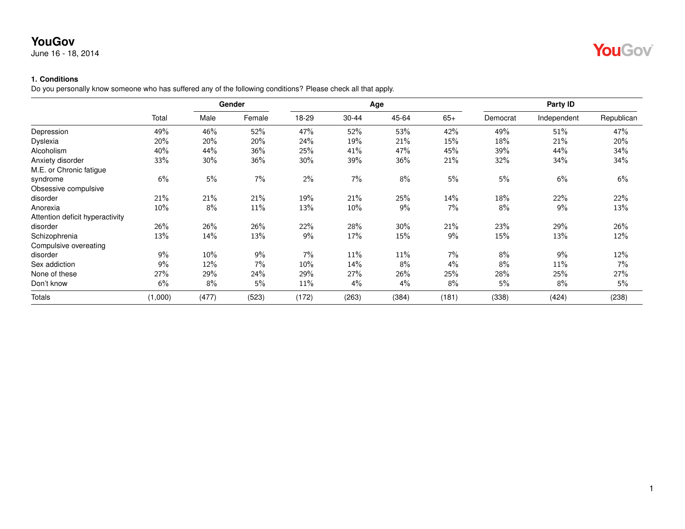June 16 - 18, 2014

### **1. Conditions**

Do you personally know someone who has suffered any of the following conditions? Please check all that apply.

|                                 |         |       | Gender |       |       | Age   |       |          | Party ID    |            |
|---------------------------------|---------|-------|--------|-------|-------|-------|-------|----------|-------------|------------|
|                                 | Total   | Male  | Female | 18-29 | 30-44 | 45-64 | $65+$ | Democrat | Independent | Republican |
| Depression                      | 49%     | 46%   | 52%    | 47%   | 52%   | 53%   | 42%   | 49%      | 51%         | 47%        |
| <b>Dyslexia</b>                 | 20%     | 20%   | 20%    | 24%   | 19%   | 21%   | 15%   | 18%      | 21%         | 20%        |
| Alcoholism                      | 40%     | 44%   | 36%    | 25%   | 41%   | 47%   | 45%   | 39%      | 44%         | 34%        |
| Anxiety disorder                | 33%     | 30%   | 36%    | 30%   | 39%   | 36%   | 21%   | 32%      | 34%         | 34%        |
| M.E. or Chronic fatigue         |         |       |        |       |       |       |       |          |             |            |
| syndrome                        | 6%      | 5%    | $7\%$  | $2\%$ | 7%    | 8%    | 5%    | $5\%$    | 6%          | 6%         |
| Obsessive compulsive            |         |       |        |       |       |       |       |          |             |            |
| disorder                        | 21%     | 21%   | 21%    | 19%   | 21%   | 25%   | 14%   | 18%      | 22%         | 22%        |
| Anorexia                        | 10%     | 8%    | 11%    | 13%   | 10%   | 9%    | 7%    | 8%       | 9%          | 13%        |
| Attention deficit hyperactivity |         |       |        |       |       |       |       |          |             |            |
| disorder                        | 26%     | 26%   | 26%    | 22%   | 28%   | 30%   | 21%   | 23%      | 29%         | 26%        |
| Schizophrenia                   | 13%     | 14%   | 13%    | 9%    | 17%   | 15%   | 9%    | 15%      | 13%         | 12%        |
| Compulsive overeating           |         |       |        |       |       |       |       |          |             |            |
| disorder                        | 9%      | 10%   | 9%     | 7%    | 11%   | 11%   | 7%    | 8%       | 9%          | 12%        |
| Sex addiction                   | 9%      | 12%   | 7%     | 10%   | 14%   | 8%    | 4%    | 8%       | 11%         | $7\%$      |
| None of these                   | 27%     | 29%   | 24%    | 29%   | 27%   | 26%   | 25%   | 28%      | 25%         | 27%        |
| Don't know                      | 6%      | 8%    | 5%     | 11%   | 4%    | 4%    | 8%    | 5%       | 8%          | 5%         |
| Totals                          | (1,000) | (477) | (523)  | (172) | (263) | (384) | (181) | (338)    | (424)       | (238)      |

YouGov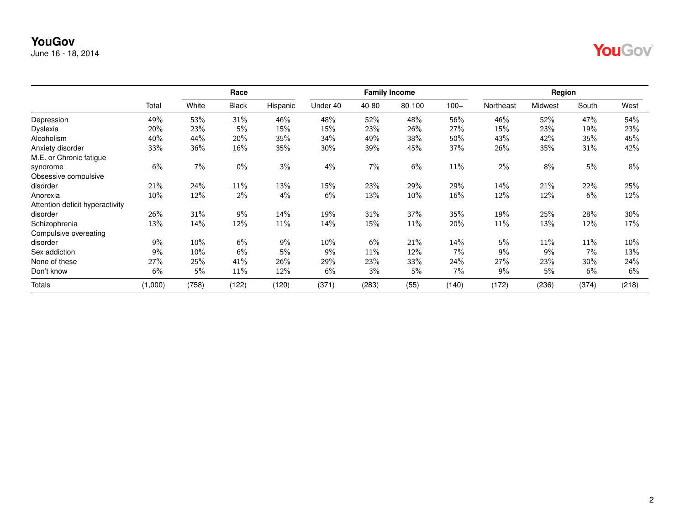June 16 - 18, 2014

|--|--|

|                                 |         |       | Race         |          |          |       | <b>Family Income</b> |        |           | Region  |       |       |
|---------------------------------|---------|-------|--------------|----------|----------|-------|----------------------|--------|-----------|---------|-------|-------|
|                                 | Total   | White | <b>Black</b> | Hispanic | Under 40 | 40-80 | 80-100               | $100+$ | Northeast | Midwest | South | West  |
| Depression                      | 49%     | 53%   | 31%          | 46%      | 48%      | 52%   | 48%                  | 56%    | 46%       | 52%     | 47%   | 54%   |
| <b>Dyslexia</b>                 | 20%     | 23%   | 5%           | 15%      | 15%      | 23%   | 26%                  | 27%    | 15%       | 23%     | 19%   | 23%   |
| Alcoholism                      | 40%     | 44%   | 20%          | 35%      | 34%      | 49%   | 38%                  | 50%    | 43%       | 42%     | 35%   | 45%   |
| Anxiety disorder                | 33%     | 36%   | 16%          | 35%      | 30%      | 39%   | 45%                  | 37%    | 26%       | 35%     | 31%   | 42%   |
| M.E. or Chronic fatigue         |         |       |              |          |          |       |                      |        |           |         |       |       |
| syndrome                        | 6%      | 7%    | $0\%$        | 3%       | 4%       | 7%    | 6%                   | 11%    | $2\%$     | 8%      | 5%    | 8%    |
| Obsessive compulsive            |         |       |              |          |          |       |                      |        |           |         |       |       |
| disorder                        | 21%     | 24%   | 11%          | 13%      | 15%      | 23%   | 29%                  | 29%    | 14%       | 21%     | 22%   | 25%   |
| Anorexia                        | 10%     | 12%   | 2%           | 4%       | 6%       | 13%   | 10%                  | 16%    | 12%       | 12%     | 6%    | 12%   |
| Attention deficit hyperactivity |         |       |              |          |          |       |                      |        |           |         |       |       |
| disorder                        | 26%     | 31%   | 9%           | 14%      | 19%      | 31%   | 37%                  | 35%    | 19%       | 25%     | 28%   | 30%   |
| Schizophrenia                   | 13%     | 14%   | 12%          | 11%      | 14%      | 15%   | 11%                  | 20%    | 11%       | 13%     | 12%   | 17%   |
| Compulsive overeating           |         |       |              |          |          |       |                      |        |           |         |       |       |
| disorder                        | 9%      | 10%   | 6%           | 9%       | 10%      | 6%    | 21%                  | 14%    | 5%        | 11%     | 11%   | 10%   |
| Sex addiction                   | 9%      | 10%   | 6%           | 5%       | 9%       | 11%   | 12%                  | 7%     | 9%        | 9%      | 7%    | 13%   |
| None of these                   | 27%     | 25%   | 41%          | 26%      | 29%      | 23%   | 33%                  | 24%    | 27%       | 23%     | 30%   | 24%   |
| Don't know                      | 6%      | 5%    | 11%          | 12%      | 6%       | 3%    | 5%                   | 7%     | 9%        | 5%      | 6%    | 6%    |
| Totals                          | (1,000) | (758) | (122)        | (120)    | (371)    | (283) | (55)                 | (140)  | (172)     | (236)   | (374) | (218) |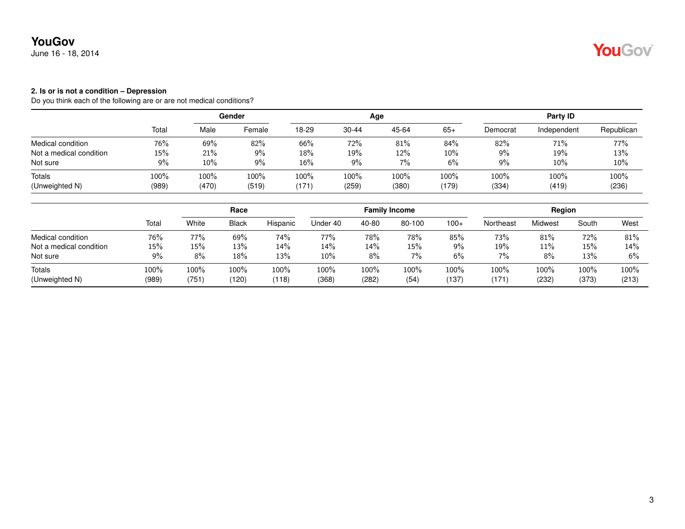June 16 - 18, 2014

#### **2. Is or is not a condition – Depression**

|                         |       |        | Gender |       |           | Age   |       |          | Party ID    |            |
|-------------------------|-------|--------|--------|-------|-----------|-------|-------|----------|-------------|------------|
|                         | Total | Male   | Female | 18-29 | $30 - 44$ | 45-64 | $65+$ | Democrat | Independent | Republican |
| Medical condition       | 76%   | 69%    | 82%    | 66%   | 72%       | 81%   | 84%   | 82%      | 71%         | 77%        |
| Not a medical condition | 15%   | 21%    | 9%     | 18%   | 19%       | 12%   | 10%   | 9%       | 19%         | 13%        |
| Not sure                | 9%    | $10\%$ | 9%     | 16%   | 9%        | 7%    | 6%    | 9%       | 10%         | 10%        |
| Totals                  | 100%  | 100%   | 100%   | 100%  | 100%      | 100%  | 100%  | 100%     | 100%        | 100%       |
| (Unweighted N)          | (989) | (470)  | (519)  | 171)  | (259)     | (380) | (179) | (334)    | (419)       | (236)      |

|                          |               |               | Race          |                  |               |               | <b>Family Income</b> |               |               | Region        |               |               |
|--------------------------|---------------|---------------|---------------|------------------|---------------|---------------|----------------------|---------------|---------------|---------------|---------------|---------------|
|                          | Total         | White         | <b>Black</b>  | Hispanic         | Under 40      | 40-80         | 80-100               | $100+$        | Northeast     | Midwest       | South         | West          |
| Medical condition        | 76%           | 77%           | 69%           | 74%              | 77%           | 78%           | 78%                  | 85%           | 73%           | 81%           | 72%           | 81%           |
| Not a medical condition  | 15%           | 15%           | 13%           | 14%              | 14%           | 14%           | 15%                  | 9%            | 19%           | 11%           | 15%           | 14%           |
| Not sure                 | 9%            | 8%            | 18%           | 13%              | 10%           | 8%            | $7\%$                | 6%            | 7%            | 8%            | 13%           | 6%            |
| Totals<br>(Unweighted N) | 100%<br>(989) | 100%<br>(751) | 100%<br>(120) | $100\%$<br>(118) | 100%<br>(368) | 100%<br>(282) | 100%<br>(54)         | 100%<br>(137) | 100%<br>(171) | 100%<br>(232) | 100%<br>(373) | 100%<br>(213) |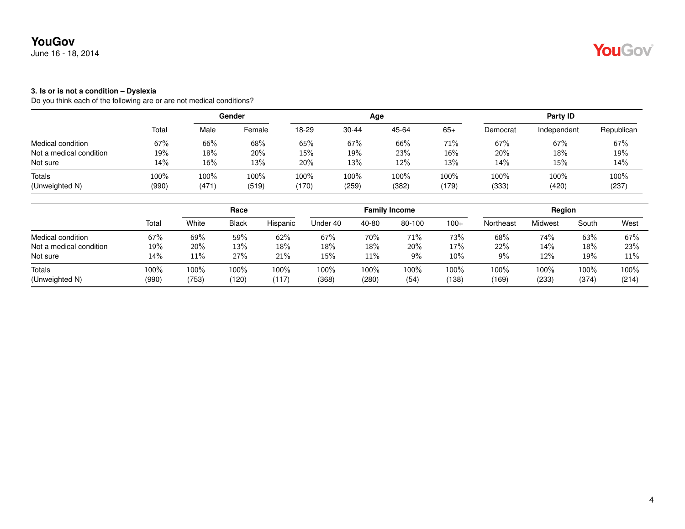June 16 - 18, 2014

#### **3. Is or is not a condition – Dyslexia**

|                         |       |       | Gender |       |           | Age   |         |          | Party ID    |            |
|-------------------------|-------|-------|--------|-------|-----------|-------|---------|----------|-------------|------------|
|                         | Total | Male  | Female | 18-29 | $30 - 44$ | 45-64 | $65+$   | Democrat | Independent | Republican |
| Medical condition       | 67%   | 66%   | 68%    | 65%   | 67%       | 66%   | 71%     | 67%      | 67%         | 67%        |
| Not a medical condition | 19%   | 18%   | 20%    | 15%   | 19%       | 23%   | $16\%$  | 20%      | 18%         | 19%        |
| Not sure                | 14%   | 16%   | 13%    | 20%   | 13%       | 12%   | 13%     | 14%      | 15%         | 14%        |
| Totals                  | 100%  | 100%  | 100%   | 100%  | 100%      | 100%  | $100\%$ | 100%     | 100%        | 100%       |
| (Unweighted N)          | (990) | (471) | (519)  | (170) | (259)     | (382) | (179)   | (333)    | (420)       | (237)      |

|                          |               |               | Race             |               |               |               | <b>Family Income</b> |               |               | Region        |               |               |
|--------------------------|---------------|---------------|------------------|---------------|---------------|---------------|----------------------|---------------|---------------|---------------|---------------|---------------|
|                          | Total         | White         | <b>Black</b>     | Hispanic      | Jnder 40      | 40-80         | 80-100               | $100+$        | Northeast     | Midwest       | South         | West          |
| Medical condition        | 67%           | 69%           | 59%              | 62%           | 67%           | 70%           | 71%                  | 73%           | 68%           | 74%           | 63%           | 67%           |
| Not a medical condition  | 19%           | 20%           | 13%              | 18%           | 18%           | 18%           | 20%                  | 17%           | 22%           | 14%           | 18%           | 23%           |
| Not sure                 | 14%           | 11%           | 27%              | 21%           | 15%           | 11%           | 9%                   | $10\%$        | 9%            | 12%           | 19%           | 11%           |
| Totals<br>(Unweighted N) | 100%<br>(990) | 100%<br>(753) | $100\%$<br>(120) | 100%<br>(117) | 100%<br>(368) | 100%<br>(280) | 100%<br>(54)         | 100%<br>(138) | 100%<br>(169) | 100%<br>(233) | 100%<br>(374) | 100%<br>(214) |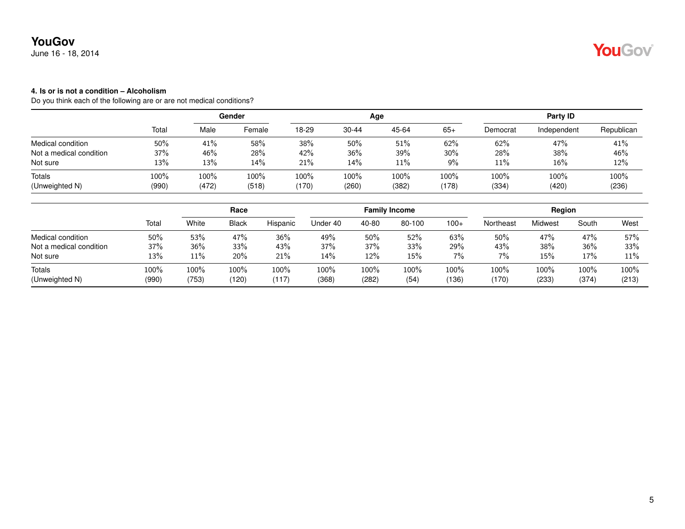June 16 - 18, 2014

### **4. Is or is not a condition – Alcoholism**

|                         |       |       | Gender |       |           | Age   |         |          | Party ID    |            |
|-------------------------|-------|-------|--------|-------|-----------|-------|---------|----------|-------------|------------|
|                         | Total | Male  | Female | 18-29 | $30 - 44$ | 45-64 | $65+$   | Democrat | Independent | Republican |
| Medical condition       | 50%   | 41%   | 58%    | 38%   | 50%       | 51%   | 62%     | 62%      | 47%         | 41%        |
| Not a medical condition | 37%   | 46%   | 28%    | 42%   | 36%       | 39%   | 30%     | 28%      | 38%         | 46%        |
| Not sure                | 13%   | 13%   | 14%    | 21%   | 14%       | 11%   | 9%      | 11%      | 16%         | 12%        |
| Totals                  | 100%  | 100%  | 100%   | 100%  | 100%      | 100%  | $100\%$ | 100%     | 100%        | 100%       |
| (Unweighted N)          | (990) | (472) | (518)  | (170) | (260)     | (382) | (178)   | (334)    | (420)       | (236)      |

|                          |               |               | Race             |               |               |               | <b>Family Income</b> |               |                  | Region        |               |               |
|--------------------------|---------------|---------------|------------------|---------------|---------------|---------------|----------------------|---------------|------------------|---------------|---------------|---------------|
|                          | Total         | White         | <b>Black</b>     | Hispanic      | Jnder 40      | 40-80         | 80-100               | $100+$        | Northeast        | Midwest       | South         | West          |
| Medical condition        | 50%           | 53%           | 47%              | 36%           | 49%           | 50%           | 52%                  | 63%           | 50%              | 47%           | 47%           | 57%           |
| Not a medical condition  | 37%           | 36%           | 33%              | 43%           | 37%           | 37%           | 33%                  | 29%           | 43%              | 38%           | 36%           | 33%           |
| Not sure                 | 13%           | 11%           | 20%              | 21%           | 14%           | 12%           | 15%                  | $7\%$         | 7%               | 15%           | 17%           | 11%           |
| Totals<br>(Unweighted N) | 100%<br>(990) | 100%<br>(753) | $100\%$<br>(120) | 100%<br>(117) | 100%<br>(368) | 100%<br>(282) | 100%<br>(54)         | 100%<br>(136) | $100\%$<br>(170) | 100%<br>(233) | 100%<br>(374) | 100%<br>(213) |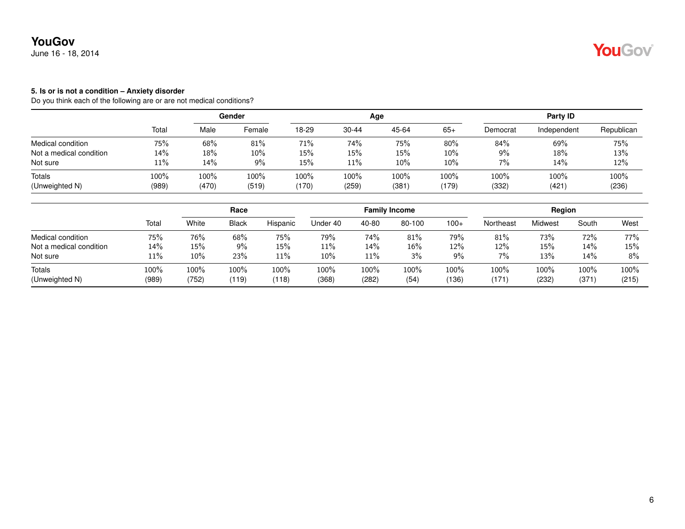June 16 - 18, 2014

#### **5. Is or is not a condition – Anxiety disorder**

|                         |       |        | Gender |       |           | Age   |        |          | Party ID    |            |
|-------------------------|-------|--------|--------|-------|-----------|-------|--------|----------|-------------|------------|
|                         | Total | Male   | Female | 18-29 | $30 - 44$ | 45-64 | $65+$  | Democrat | Independent | Republican |
| Medical condition       | 75%   | 68%    | 81%    | 71%   | 74%       | 75%   | 80%    | 84%      | 69%         | 75%        |
| Not a medical condition | 14%   | $18\%$ | $10\%$ | 15%   | 15%       | 15%   | 10%    | 9%       | 18%         | 13%        |
| Not sure                | 11%   | 14%    | 9%     | 15%   | 11%       | 10%   | $10\%$ | 7%       | 14%         | 12%        |
| Totals                  | 100%  | 100%   | 100%   | 100%  | 100%      | 100%  | 100%   | 100%     | 100%        | 100%       |
| (Unweighted N)          | (989) | (470)  | (519)  | (170) | (259)     | (381) | (179)  | (332)    | (421)       | (236)      |

|                          |               |               | Race          |               |               |               | <b>Family Income</b> |               |               | Region           |               |                  |
|--------------------------|---------------|---------------|---------------|---------------|---------------|---------------|----------------------|---------------|---------------|------------------|---------------|------------------|
|                          | Total         | White         | <b>Black</b>  | Hispanic      | Jnder 40      | 40-80         | 80-100               | $100+$        | Northeast     | Midwest          | South         | West             |
| Medical condition        | 75%           | 76%           | 68%           | 75%           | 79%           | 74%           | 81%                  | 79%           | 81%           | 73%              | 72%           | 77%              |
| Not a medical condition  | $14\%$        | 15%           | 9%            | 15%           | 11%           | 14%           | 16%                  | 12%           | 12%           | 15%              | 14%           | 15%              |
| Not sure                 | 11%           | 10%           | 23%           | 11%           | 10%           | 11%           | 3%                   | 9%            | 7%            | 13%              | 14%           | 8%               |
| Totals<br>(Unweighted N) | 100%<br>(989) | 100%<br>(752) | 100%<br>(119) | 100%<br>(118) | 100%<br>(368) | 100%<br>(282) | 100%<br>(54)         | 100%<br>(136) | 100%<br>(171) | $100\%$<br>(232) | 100%<br>(371) | $100\%$<br>(215) |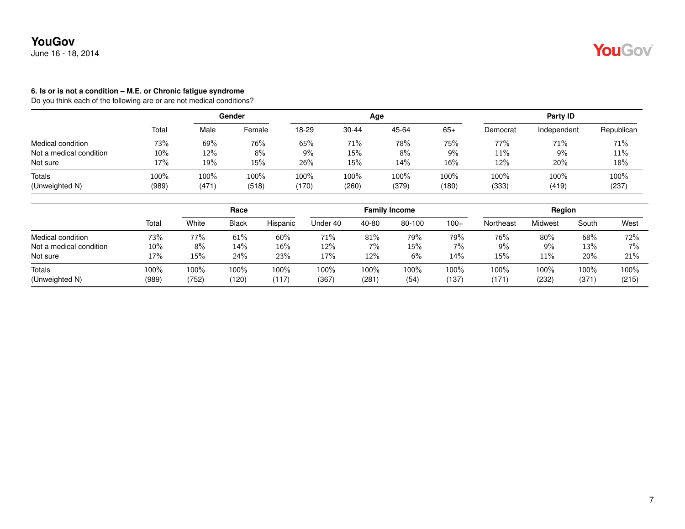June 16 - 18, 2014

#### **6. Is or is not a condition – M.E. or Chronic fatigue syndrome**

|                         |       |       | Gender |       |           | Age   |       |          | Party ID    |            |
|-------------------------|-------|-------|--------|-------|-----------|-------|-------|----------|-------------|------------|
|                         | Total | Male  | Female | 18-29 | $30 - 44$ | 45-64 | $65+$ | Democrat | Independent | Republican |
| Medical condition       | 73%   | 69%   | 76%    | 65%   | 71%       | 78%   | 75%   | 77%      | 71%         | 71%        |
| Not a medical condition | 10%   | 12%   | 8%     | 9%    | 15%       | 8%    | $9\%$ | 11%      | $9\%$       | 11%        |
| Not sure                | 17%   | 19%   | 15%    | 26%   | 15%       | 14%   | 16%   | 12%      | 20%         | 18%        |
| Totals                  | 100%  | 100%  | 100%   | 100%  | 100%      | 100%  | 100%  | 100%     | 100%        | 100%       |
| (Unweighted N)          | (989) | (471) | (518)  | (170) | (260)     | (379) | (180) | (333)    | (419)       | (237)      |

|                          |               |               | Race          |               |               |               | <b>Family Income</b> |               |               | Region        |               |               |
|--------------------------|---------------|---------------|---------------|---------------|---------------|---------------|----------------------|---------------|---------------|---------------|---------------|---------------|
|                          | Total         | White         | <b>Black</b>  | Hispanic      | Under 40      | 40-80         | 80-100               | $100+$        | Northeast     | Midwest       | South         | West          |
| Medical condition        | 73%           | 77%           | 61%           | 60%           | 71%           | 81%           | 79%                  | 79%           | 76%           | 80%           | 68%           | 72%           |
| Not a medical condition  | 10%           | 8%            | 14%           | 16%           | 12%           | 7%            | 15%                  | 7%            | 9%            | 9%            | 13%           | 7%            |
| Not sure                 | 17%           | 15%           | 24%           | 23%           | 17%           | 12%           | 6%                   | 14%           | 15%           | 11%           | 20%           | 21%           |
| Totals<br>(Unweighted N) | 100%<br>(989) | 100%<br>(752) | 100%<br>(120) | 100%<br>(117) | 100%<br>(367) | 100%<br>(281) | 100%<br>(54)         | 100%<br>(137) | 100%<br>(171) | 100%<br>(232) | 100%<br>(371) | 100%<br>(215) |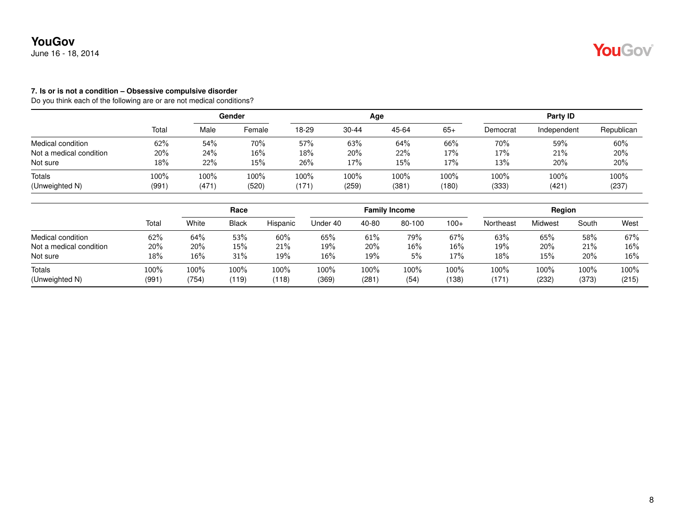June 16 - 18, 2014

#### **7. Is or is not a condition – Obsessive compulsive disorder**

Do you think each of the following are or are not medical conditions?

|                         |                                             | Gender |        |         |       | Age   |       | Party ID |             |            |  |
|-------------------------|---------------------------------------------|--------|--------|---------|-------|-------|-------|----------|-------------|------------|--|
|                         | Total<br>62%<br>20%<br>18%<br>100%<br>(991) | Male   | Female | 18-29   | 30-44 | 45-64 | $65+$ | Democrat | Independent | Republican |  |
| Medical condition       |                                             | 54%    | 70%    | 57%     | 63%   | 64%   | 66%   | 70%      | 59%         | 60%        |  |
| Not a medical condition |                                             | 24%    | 16%    | $18\%$  | 20%   | 22%   | 17%   | 17%      | 21%         | 20%        |  |
| Not sure                |                                             | 22%    | 15%    | 26%     | 17%   | 15%   | 17%   | 13%      | 20%         | 20%        |  |
| Totals                  |                                             | 100%   | 100%   | $100\%$ | 100%  | 100%  | 100%  | 100%     | 100%        | 100%       |  |
| (Unweighted N)          |                                             | (471)  | (520)  | (171)   | (259) | (381) | (180) | (333)    | (421        | (237)      |  |

|                         |       | Race  |              |          |          |       | <b>Family Income</b> |         |           | Region  |         |       |
|-------------------------|-------|-------|--------------|----------|----------|-------|----------------------|---------|-----------|---------|---------|-------|
|                         | Total | White | <b>Black</b> | Hispanic | Jnder 40 | 40-80 | 80-100               | $100+$  | Northeast | Midwest | South   | West  |
| Medical condition       | 62%   | 64%   | 53%          | 60%      | 65%      | 61%   | 79%                  | 67%     | 63%       | 65%     | 58%     | 67%   |
| Not a medical condition | 20%   | 20%   | 15%          | 21%      | 19%      | 20%   | 16%                  | $16\%$  | 19%       | 20%     | 21%     | 16%   |
| Not sure                | 18%   | 16%   | 31%          | 19%      | 16%      | 19%   | 5%                   | 17%     | 18%       | 15%     | 20%     | 16%   |
| Totals                  | 100%  | 100%  | 100%         | 100%     | 100%     | 100%  | 100%                 | $100\%$ | 100%      | 100%    | $100\%$ | 100%  |
| (Unweighted N)          | (991) | (754) | (119)        | (118)    | (369)    | (281) | (54)                 | (138)   | (171)     | (232)   | (373)   | (215) |

YouGov®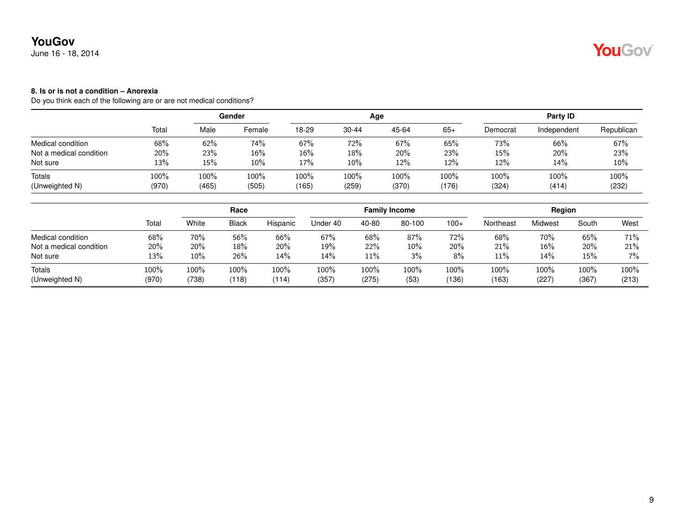June 16 - 18, 2014

### **8. Is or is not a condition – Anorexia**

|                         |       | Gender |        |        |           | Age   |         | Party ID |             |            |  |
|-------------------------|-------|--------|--------|--------|-----------|-------|---------|----------|-------------|------------|--|
|                         | Total | Male   | Female | 18-29  | $30 - 44$ | 45-64 | $65+$   | Democrat | Independent | Republican |  |
| Medical condition       | 68%   | 62%    | 74%    | 67%    | 72%       | 67%   | 65%     | 73%      | 66%         | 67%        |  |
| Not a medical condition | 20%   | 23%    | $16\%$ | $16\%$ | 18%       | 20%   | 23%     | 15%      | 20%         | 23%        |  |
| Not sure                | 13%   | $15\%$ | 10%    | 17%    | $10\%$    | 12%   | 12%     | 12%      | 14%         | 10%        |  |
| Totals                  | 100%  | 100%   | 100%   | 100%   | 100%      | 100%  | $100\%$ | 100%     | 100%        | 100%       |  |
| (Unweighted N)          | (970) | (465)  | (505)  | (165)  | (259)     | (370) | (176)   | (324)    | (414)       | (232)      |  |

|                          |               |               | Race             |               |               |               | <b>Family Income</b> |               |               | Region       |               |               |
|--------------------------|---------------|---------------|------------------|---------------|---------------|---------------|----------------------|---------------|---------------|--------------|---------------|---------------|
|                          | Total         | White         | <b>Black</b>     | Hispanic      | Jnder 40      | 40-80         | 80-100               | $100+$        | Northeast     | Midwest      | South         | West          |
| Medical condition        | 68%           | 70%           | 56%              | 66%           | 67%           | 68%           | 87%                  | 72%           | 68%           | 70%          | 65%           | 71%           |
| Not a medical condition  | 20%           | 20%           | 18%              | 20%           | 19%           | 22%           | 10%                  | 20%           | 21%           | $16\%$       | 20%           | 21%           |
| Not sure                 | 13%           | 10%           | 26%              | 14%           | 14%           | 11%           | 3%                   | 8%            | 11%           | 14%          | 15%           | 7%            |
| Totals<br>(Unweighted N) | 100%<br>(970) | 100%<br>(738) | $100\%$<br>(118) | 100%<br>(114) | 100%<br>(357) | 100%<br>(275) | 100%<br>(53)         | 100%<br>(136) | 100%<br>(163) | 100%<br>(227 | 100%<br>(367) | 100%<br>(213) |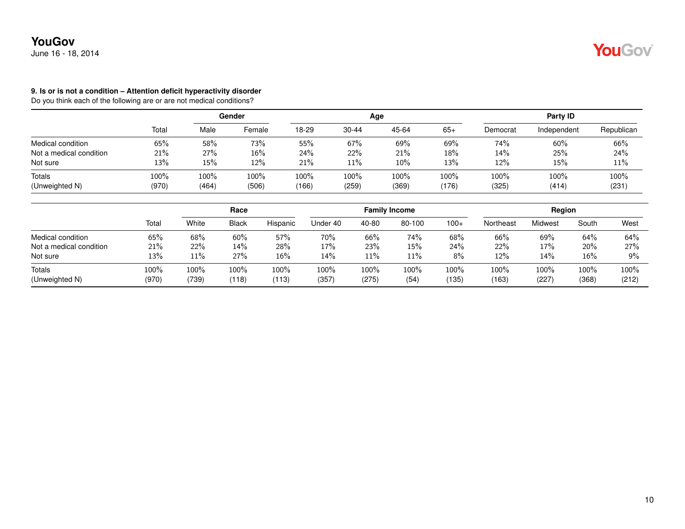June 16 - 18, 2014

#### **9. Is or is not a condition – Attention deficit hyperactivity disorder**

Do you think each of the following are or are not medical conditions?

|                         |       | Gender |        |       |           | Age    |       | Party ID |             |            |  |
|-------------------------|-------|--------|--------|-------|-----------|--------|-------|----------|-------------|------------|--|
|                         | Total | Male   | Female | 18-29 | $30 - 44$ | 45-64  | $65+$ | Democrat | Independent | Republican |  |
| Medical condition       | 65%   | 58%    | 73%    | 55%   | 67%       | 69%    | 69%   | 74%      | 60%         | 66%        |  |
| Not a medical condition | 21%   | 27%    | 16%    | 24%   | 22%       | 21%    | 18%   | 14%      | 25%         | 24%        |  |
| Not sure                | 13%   | 15%    | 12%    | 21%   | 11%       | $10\%$ | 13%   | 12%      | 15%         | 11%        |  |
| Totals                  | 100%  | 100%   | 100%   | 100%  | 100%      | 100%   | 100%  | 100%     | 100%        | 100%       |  |
| (Unweighted N)          | (970) | (464)  | (506)  | (166) | (259)     | (369)  | (176) | (325)    | (414)       | (231)      |  |

|                          |               |               | Race             |               |               |               | <b>Family Income</b> |               |               | Region       |               |               |
|--------------------------|---------------|---------------|------------------|---------------|---------------|---------------|----------------------|---------------|---------------|--------------|---------------|---------------|
|                          | Total         | White         | <b>Black</b>     | Hispanic      | Jnder 40      | 40-80         | 80-100               | $100+$        | Northeast     | Midwest      | South         | West          |
| Medical condition        | 65%           | 68%           | 60%              | 57%           | 70%           | 66%           | 74%                  | 68%           | 66%           | 69%          | 64%           | 64%           |
| Not a medical condition  | 21%           | 22%           | 14%              | 28%           | 17%           | 23%           | 15%                  | 24%           | 22%           | 17%          | 20%           | 27%           |
| Not sure                 | 13%           | 11%           | 27%              | 16%           | 14%           | 11%           | 11%                  | 8%            | 12%           | 14%          | 16%           | 9%            |
| Totals<br>(Unweighted N) | 100%<br>(970) | 100%<br>(739) | $100\%$<br>(118) | 100%<br>(113) | 100%<br>(357) | 100%<br>(275) | 100%<br>(54)         | 100%<br>(135) | 100%<br>(163) | 100%<br>(227 | 100%<br>(368) | 100%<br>(212) |

YouGov®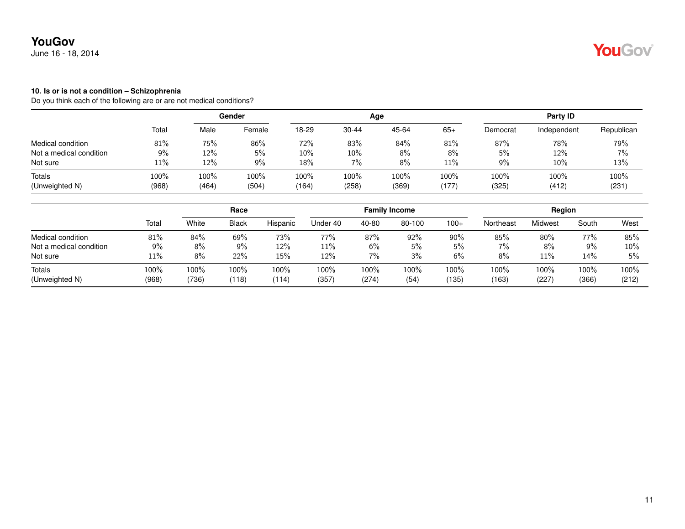June 16 - 18, 2014

#### **10. Is or is not a condition – Schizophrenia**

|                         |       |       | Gender |       |           | Age   |        | Party ID |             |            |
|-------------------------|-------|-------|--------|-------|-----------|-------|--------|----------|-------------|------------|
|                         | Total | Male  | Female | 18-29 | $30 - 44$ | 45-64 | $65+$  | Democrat | Independent | Republican |
| Medical condition       | 81%   | 75%   | 86%    | 72%   | 83%       | 84%   | $81\%$ | 87%      | 78%         | 79%        |
| Not a medical condition | 9%    | 12%   | 5%     | 10%   | 10%       | 8%    | 8%     | 5%       | 12%         | 7%         |
| Not sure                | 11%   | 12%   | 9%     | 18%   | 7%        | 8%    | 11%    | 9%       | 10%         | 13%        |
| Totals                  | 100%  | 100%  | 100%   | 100%  | 100%      | 100%  | 100%   | 100%     | 100%        | 100%       |
| (Unweighted N)          | (968) | (464) | (504)  | (164) | (258)     | (369) | (177)  | (325)    | (412)       | (231)      |

|                          |               | Race          |                  |               |               |               | <b>Family Income</b> |               |               | Region       |               |               |
|--------------------------|---------------|---------------|------------------|---------------|---------------|---------------|----------------------|---------------|---------------|--------------|---------------|---------------|
|                          | Total         | White         | <b>Black</b>     | Hispanic      | Jnder 40      | 40-80         | 80-100               | $100+$        | Northeast     | Midwest      | South         | West          |
| Medical condition        | 81%           | 84%           | 69%              | 73%           | 77%           | 87%           | 92%                  | 90%           | 85%           | 80%          | 77%           | 85%           |
| Not a medical condition  | 9%            | 8%            | 9%               | 12%           | 11%           | 6%            | 5%                   | 5%            | 7%            | 8%           | 9%            | $10\%$        |
| Not sure                 | 11%           | 8%            | 22%              | 15%           | 12%           | 7%            | 3%                   | 6%            | 8%            | 11%          | 14%           | 5%            |
| Totals<br>(Unweighted N) | 100%<br>(968) | 100%<br>(736) | $100\%$<br>(118) | 100%<br>(114) | 100%<br>(357) | 100%<br>(274) | 100%<br>(54)         | 100%<br>(135) | 100%<br>(163) | 100%<br>(227 | 100%<br>(366) | 100%<br>(212) |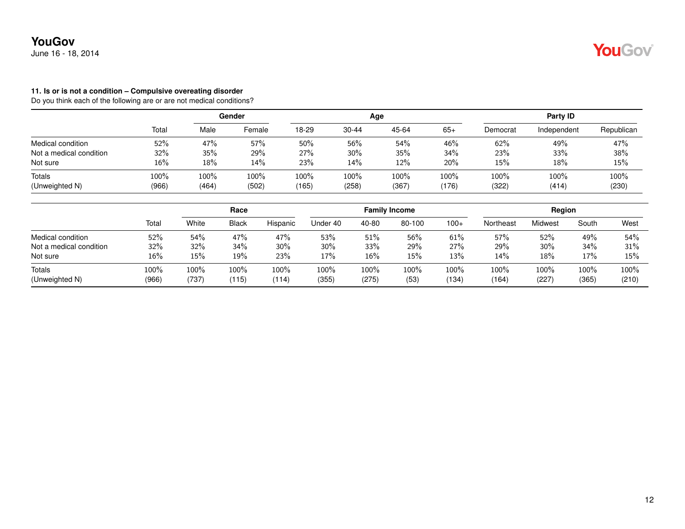June 16 - 18, 2014

#### **11. Is or is not a condition – Compulsive overeating disorder**

|                         |       | Gender |        |       |           | Age   |       | Party ID |             |            |  |
|-------------------------|-------|--------|--------|-------|-----------|-------|-------|----------|-------------|------------|--|
|                         | Total | Male   | Female | 18-29 | $30 - 44$ | 45-64 | $65+$ | Democrat | Independent | Republican |  |
| Medical condition       | 52%   | 47%    | 57%    | 50%   | 56%       | 54%   | 46%   | 62%      | 49%         | 47%        |  |
| Not a medical condition | 32%   | 35%    | 29%    | 27%   | 30%       | 35%   | 34%   | 23%      | 33%         | 38%        |  |
| Not sure                | 16%   | 18%    | 14%    | 23%   | 14%       | 12%   | 20%   | 15%      | 18%         | 15%        |  |
| Totals                  | 100%  | 100%   | 100%   | 100%  | 100%      | 100%  | 100%  | 100%     | 100%        | 100%       |  |
| (Unweighted N)          | (966) | (464)  | (502)  | (165) | (258)     | (367) | (176) | (322)    | (414)       | (230)      |  |

|                          |               |               | Race             |                  |               |               | <b>Family Income</b> |               |               | Region        |               |               |
|--------------------------|---------------|---------------|------------------|------------------|---------------|---------------|----------------------|---------------|---------------|---------------|---------------|---------------|
|                          | Total         | White         | <b>Black</b>     | Hispanic         | Under 40      | 40-80         | 80-100               | $100+$        | Northeast     | Midwest       | South         | West          |
| Medical condition        | 52%           | 54%           | 47%              | 47%              | 53%           | 51%           | 56%                  | 61%           | 57%           | 52%           | 49%           | 54%           |
| Not a medical condition  | 32%           | 32%           | 34%              | 30%              | 30%           | 33%           | 29%                  | 27%           | 29%           | 30%           | 34%           | 31%           |
| Not sure                 | 16%           | 15%           | 19%              | 23%              | 17%           | 16%           | 15%                  | 13%           | 14%           | 18%           | 17%           | 15%           |
| Totals<br>(Unweighted N) | 100%<br>(966) | 100%<br>(737) | $100\%$<br>(115) | $100\%$<br>(114) | 100%<br>(355) | 100%<br>(275) | 100%<br>(53)         | 100%<br>(134) | 100%<br>(164) | 100%<br>(227) | 100%<br>(365) | 100%<br>(210) |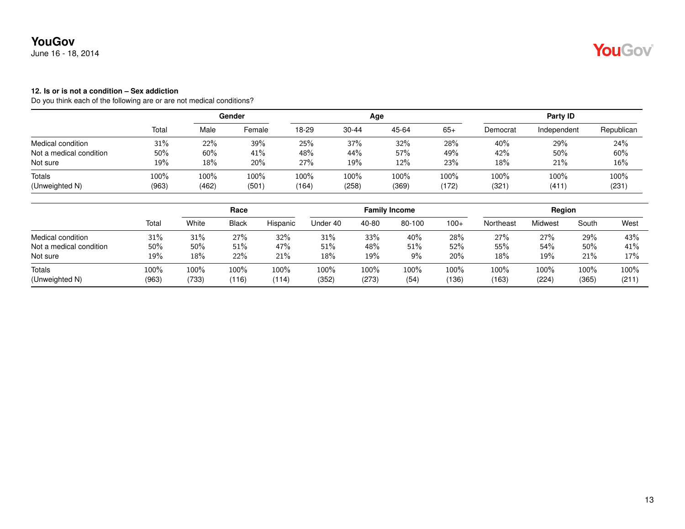June 16 - 18, 2014

### **12. Is or is not a condition – Sex addiction**

|                         |       | Gender |        |       |           | Age   |         | Party ID |             |            |  |
|-------------------------|-------|--------|--------|-------|-----------|-------|---------|----------|-------------|------------|--|
|                         | Total | Male   | Female | 18-29 | $30 - 44$ | 45-64 | $65+$   | Democrat | Independent | Republican |  |
| Medical condition       | 31%   | 22%    | 39%    | 25%   | 37%       | 32%   | 28%     | 40%      | 29%         | 24%        |  |
| Not a medical condition | 50%   | 60%    | 41%    | 48%   | 44%       | 57%   | 49%     | 42%      | 50%         | 60%        |  |
| Not sure                | 19%   | $18\%$ | 20%    | 27%   | 19%       | 12%   | 23%     | 18%      | 21%         | 16%        |  |
| Totals                  | 100%  | 100%   | 100%   | 100%  | 100%      | 100%  | $100\%$ | 100%     | 100%        | 100%       |  |
| (Unweighted N)          | (963) | (462)  | (501)  | (164) | (258)     | (369) | (172)   | (321)    | (411)       | (231)      |  |

|                          | Total         | Race          |               |               | <b>Family Income</b> |               |              |               | Region        |                  |               |               |
|--------------------------|---------------|---------------|---------------|---------------|----------------------|---------------|--------------|---------------|---------------|------------------|---------------|---------------|
|                          |               | White         | <b>Black</b>  | Hispanic      | Under 40             | 40-80         | 80-100       | $100+$        | Northeast     | Midwest          | South         | West          |
| Medical condition        | 31%           | 31%           | 27%           | 32%           | 31%                  | 33%           | 40%          | 28%           | 27%           | 27%              | 29%           | 43%           |
| Not a medical condition  | 50%           | 50%           | 51%           | 47%           | 51%                  | 48%           | 51%          | 52%           | 55%           | 54%              | 50%           | 41%           |
| Not sure                 | 19%           | 18%           | 22%           | 21%           | 18%                  | 19%           | 9%           | 20%           | 18%           | 19%              | 21%           | 17%           |
| Totals<br>(Unweighted N) | 100%<br>(963) | 100%<br>(733) | 100%<br>(116) | 100%<br>(114) | 100%<br>(352)        | 100%<br>(273) | 100%<br>(54) | 100%<br>(136) | 100%<br>(163) | $100\%$<br>(224) | 100%<br>(365) | 100%<br>(211) |